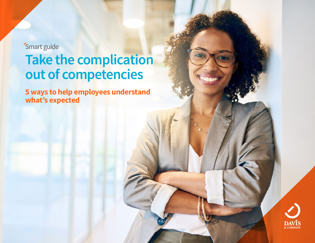'Smart guide **Take the complication out of competencies**

**5 ways to help employees understand what's expected**

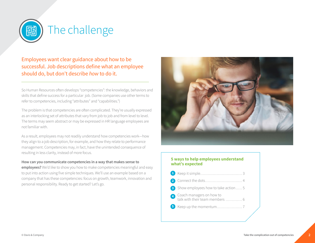

Employees want clear guidance about how to be successful. Job descriptions define what an employee should do, but don't describe *how* to do it.

So Human Resources often develops "competencies": the knowledge, behaviors and skills that define success for a particular job. (Some companies use other terms to refer to competencies, including "attributes" and "capabilities.")

The problem is that competencies are often complicated. They're usually expressed as an interlocking set of attributes that vary from job to job and from level to level. The terms may seem abstract or may be expressed in HR language employees are not familiar with.

As a result, employees may not readily understand how competencies work—how they align to a job description, for example, and how they relate to performance management. Competencies may, in fact, have the unintended consequence of resulting in less clarity, instead of more focus.

#### **How can you communicate competencies in a way that makes sense to**

**employees?** We'd like to show you how to make competencies meaningful and easy to put into action using five simple techniques. We'll use an example based on a company that has these competencies: focus on growth, teamwork, innovation and personal responsibility. Ready to get started? Let's go.



#### **5 ways to help employees understand what's expected**

Keep it simple................................. 3 Connect the dots............................. 4 Show employees how to take action..... 5 Coach managers on how to talk with their team members ............. 6 Keep up the momentum.................... 7 **51 2 3 4**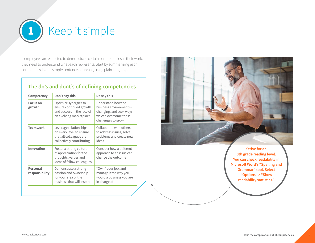

If employees are expected to demonstrate certain competencies in their work, they need to understand what each represents. Start by summarizing each competency in one simple sentence or phrase, using plain language.

### **The do's and dont's of defining competencies**

| Competency                        | Don't say this                                                                                             | Do say this                                                                                                             |
|-----------------------------------|------------------------------------------------------------------------------------------------------------|-------------------------------------------------------------------------------------------------------------------------|
| <b>Focus on</b><br>growth         | Optimize synergies to<br>ensure continued growth<br>and success in the face of<br>an evolving marketplace  | Understand how the<br>business environment is<br>changing, and seek ways<br>we can overcome those<br>challenges to grow |
| <b>Teamwork</b>                   | Leverage relationships<br>on every level to ensure<br>that all colleagues are<br>collectively contributing | Collaborate with others<br>to address issues, solve<br>problems and create new<br>ideas                                 |
| Innovation                        | Foster a strong culture<br>of appreciation for the<br>thoughts, values and<br>ideas of fellow colleagues   | Consider how a different<br>approach to an issue can<br>change the outcome                                              |
| <b>Personal</b><br>responsibility | Demonstrate a strong<br>passion and ownership<br>for your area of the<br>business that will inspire        | "Own" your job, and<br>manage it the way you<br>would a business you are<br>in charge of                                |



**Strive for an 8th grade reading level. You can check readability in Microsoft Word's "Spelling and Grammar" tool. Select "Options" > "Show readability statistics."**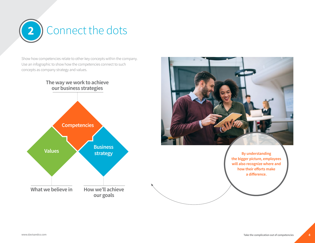

Show how competencies relate to other key concepts within the company. Use an infographic to show how the competencies connect to such concepts as company strategy and values.

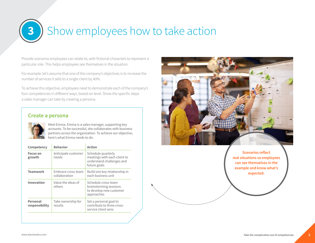# **3** Show employees how to take action

Provide scenarios employees can relate to, with fictional characters to represent a particular role. This helps employees see themselves in the situation.

For example: let's assume that one of the company's objectives is to increase the number of services it sells to a single client by 40%.

To achieve this objective, employees need to demonstrate each of the company's four competencies in different ways, based on level. Show the specific steps a sales manager can take by creating a persona.



**Scenarios reflect real situations so employees can see themselves in the example and know what's expected.**

#### **Create a persona**



Meet Emma. Emma is a sales manager, supporting key accounts. To be successful, she collaborates with business partners across the organization. To achieve our objective, here's what Emma needs to do.

| Competency                 | <b>Behavior</b>                     | <b>Action</b>                                                                                   |
|----------------------------|-------------------------------------|-------------------------------------------------------------------------------------------------|
| <b>Focus on</b><br>growth  | Anticipate customer<br>needs        | Schedule quarterly<br>meetings with each client to<br>understand challenges and<br>future goals |
| <b>Teamwork</b>            | Embrace cross-team<br>collaboration | Build one key relationship in<br>each business unit                                             |
| Innovation                 | Value the ideas of<br>others        | Schedule cross-team<br>brainstorming sessions<br>to develop new customer<br>approaches          |
| Personal<br>responsibility | Take ownership for<br>results       | Set a personal goal to<br>contribute to three cross-<br>service client wins                     |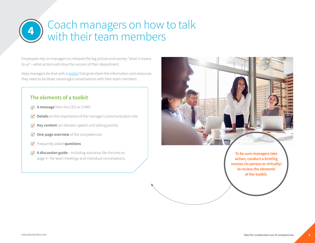## Coach managers on how to talk with their team members **<sup>4</sup>**

Employees rely on managers to interpret the big picture and convey "what it means to us"—what actions will drive the success of their department.

Help managers do that with a [toolkit](https://www.davisandco.com/sites/default/files/files_premium/dco_smartguide_commtoolkitsthatworkleadersmanagers.pdf) that gives them the information and resources they need to facilitate meaningful conversations with their team members.

#### **The elements of a toolkit**

- $\mathcal A$  **A message** from the CEO or CHRO
- **Details** on the importance of the manager's communication role  $\emptyset$
- **Key content** (an elevator speech and talking points)  $\emptyset$
- **One-page overview** of the competencies  $\circledcirc$
- Frequently asked **questions**  $\infty$
- **A discussion guide**—including scenarios like the one on page 5—for team meetings and individual conversations.

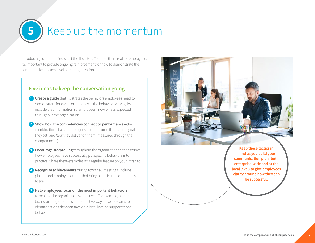# **5** Keep up the momentum

Introducing competencies is just the first step. To make them real for employees, it's important to provide ongoing reinforcement for how to demonstrate the competencies at each level of the organization.

### **Five ideas to keep the conversation going**

- **Create a guide** that illustrates the behaviors employees need to **1** demonstrate for each competency. If the behaviors vary by level, include that information so employees know what's expected throughout the organization.
- **Show how the competencies connect to performance—**the **2** combination of *what* employees do (measured through the goals they set) and *how* they deliver on them (measured through the competencies).
- **Encourage storytelling** throughout the organization that describes **3** how employees have successfully put specific behaviors into practice. Share these examples as a regular feature on your intranet.
- **Recognize achievements** during town hall meetings. Include **4** photos and employee quotes that bring a particular competency to life.
- **Help employees focus on the most important behaviors 5** to achieve the organization's objectives. For example, a team brainstorming session is an interactive way for work teams to identify actions they can take on a local level to support those behaviors.